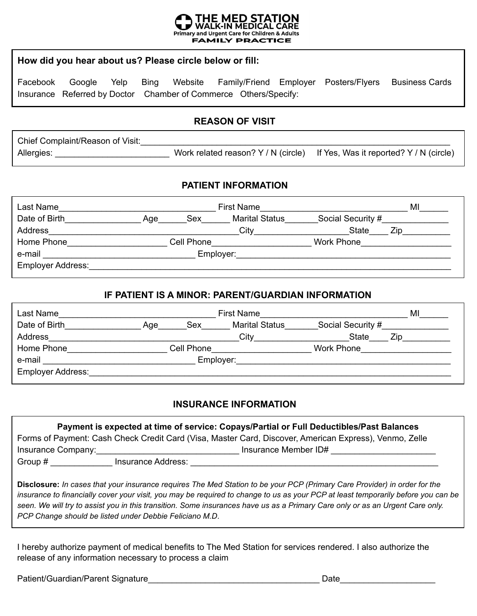

#### **How did you hear about us? Please circle below or fill:**

Facebook Google Yelp Bing Website Family/Friend Employer Posters/Flyers Business Cards Insurance Referred by Doctor Chamber of Commerce Others/Specify:

#### **REASON OF VISIT**

| Chief Complaint/Reason of Visit: |                                                                             |
|----------------------------------|-----------------------------------------------------------------------------|
| Allergies:                       | Work related reason? Y / N (circle) If Yes, Was it reported? Y / N (circle) |

### **PATIENT INFORMATION**

| Last Name                |     |            | <b>First Name</b>     |                   | MI  |
|--------------------------|-----|------------|-----------------------|-------------------|-----|
| Date of Birth            | Aqe | Sex        | <b>Marital Status</b> | Social Security # |     |
| Address                  |     |            | City                  | <b>State</b>      | Zip |
| Home Phone               |     | Cell Phone |                       | Work Phone        |     |
| e-mail                   |     |            | Employer:             |                   |     |
| <b>Employer Address:</b> |     |            |                       |                   |     |

#### **IF PATIENT IS A MINOR: PARENT/GUARDIAN INFORMATION**

| Last Name                |     |            | <b>First Name</b>     |                   | M   |
|--------------------------|-----|------------|-----------------------|-------------------|-----|
| Date of Birth            | Age | Sex        | <b>Marital Status</b> | Social Security # |     |
| Address                  |     |            | City                  | <b>State</b>      | Zin |
| Home Phone               |     | Cell Phone |                       | Work Phone        |     |
| e-mail                   |     |            | Employer:             |                   |     |
| <b>Employer Address:</b> |     |            |                       |                   |     |

#### **INSURANCE INFORMATION**

| Payment is expected at time of service: Copays/Partial or Full Deductibles/Past Balances |                    |                                                                                                        |  |
|------------------------------------------------------------------------------------------|--------------------|--------------------------------------------------------------------------------------------------------|--|
|                                                                                          |                    | Forms of Payment: Cash Check Credit Card (Visa, Master Card, Discover, American Express), Venmo, Zelle |  |
| Insurance Company:                                                                       |                    | Insurance Member ID#                                                                                   |  |
| Group #                                                                                  | Insurance Address: |                                                                                                        |  |

**Disclosure:** *In cases that your insurance requires The Med Station to be your PCP (Primary Care Provider) in order for the insurance to financially cover your visit, you may be required to change to us as your PCP at least temporarily before you can be seen. We will try to assist you in this transition. Some insurances have us as a Primary Care only or as an Urgent Care only. PCP Change should be listed under Debbie Feliciano M.D*.

I hereby authorize payment of medical benefits to The Med Station for services rendered. I also authorize the release of any information necessary to process a claim

Patient/Guardian/Parent Signature entitled and the control of the control of the Date